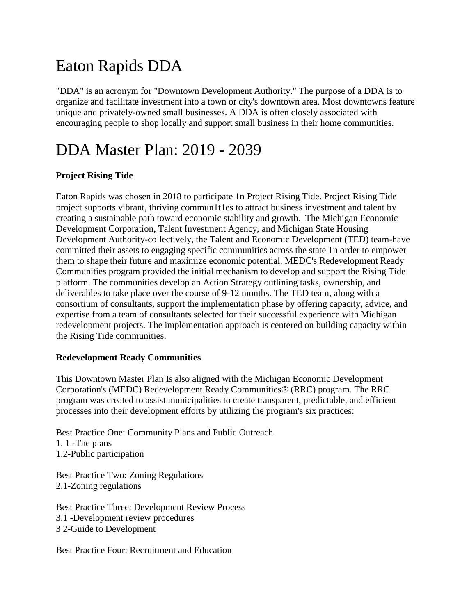# Eaton Rapids DDA

"DDA" is an acronym for "Downtown Development Authority." The purpose of a DDA is to organize and facilitate investment into a town or city's downtown area. Most downtowns feature unique and privately-owned small businesses. A DDA is often closely associated with encouraging people to shop locally and support small business in their home communities.

### DDA Master Plan: 2019 - 2039

### **Project Rising Tide**

Eaton Rapids was chosen in 2018 to participate 1n Project Rising Tide. Project Rising Tide project supports vibrant, thriving commun1t1es to attract business investment and talent by creating a sustainable path toward economic stability and growth. The Michigan Economic Development Corporation, Talent Investment Agency, and Michigan State Housing Development Authority-collectively, the Talent and Economic Development (TED) team-have committed their assets to engaging specific communities across the state 1n order to empower them to shape their future and maximize economic potential. MEDC's Redevelopment Ready Communities program provided the initial mechanism to develop and support the Rising Tide platform. The communities develop an Action Strategy outlining tasks, ownership, and deliverables to take place over the course of 9-12 months. The TED team, along with a consortium of consultants, support the implementation phase by offering capacity, advice, and expertise from a team of consultants selected for their successful experience with Michigan redevelopment projects. The implementation approach is centered on building capacity within the Rising Tide communities.

#### **Redevelopment Ready Communities**

This Downtown Master Plan Is also aligned with the Michigan Economic Development Corporation's (MEDC) Redevelopment Ready Communities® (RRC) program. The RRC program was created to assist municipalities to create transparent, predictable, and efficient processes into their development efforts by utilizing the program's six practices:

Best Practice One: Community Plans and Public Outreach 1. 1 -The plans 1.2-Public participation

Best Practice Two: Zoning Regulations 2.1-Zoning regulations

Best Practice Three: Development Review Process 3.1 -Development review procedures 3 2-Guide to Development

Best Practice Four: Recruitment and Education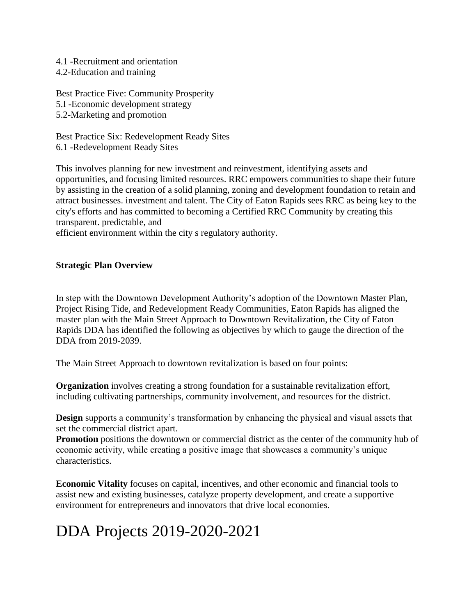- 4.1 -Recruitment and orientation
- 4.2-Education and training

Best Practice Five: Community Prosperity 5.I -Economic development strategy 5.2-Marketing and promotion

Best Practice Six: Redevelopment Ready Sites 6.1 -Redevelopment Ready Sites

This involves planning for new investment and reinvestment, identifying assets and opportunities, and focusing limited resources. RRC empowers communities to shape their future by assisting in the creation of a solid planning, zoning and development foundation to retain and attract businesses. investment and talent. The City of Eaton Rapids sees RRC as being key to the city's efforts and has committed to becoming a Certified RRC Community by creating this transparent. predictable, and

efficient environment within the city s regulatory authority.

#### **Strategic Plan [Overview](https://www.icdda.com/wp-content/uploads/2018/07/strategic_plan.pdf)**

In step with the Downtown Development Authority's adoption of the Downtown Master Plan, Project Rising Tide, and Redevelopment Ready Communities, Eaton Rapids has aligned the master plan with the Main Street Approach to Downtown Revitalization, the City of Eaton Rapids DDA has identified the following as objectives by which to gauge the direction of the DDA from 2019-2039.

The Main Street Approach to downtown revitalization is based on four points:

**Organization** involves creating a strong foundation for a sustainable revitalization effort, including cultivating partnerships, community involvement, and resources for the district.

**Design** supports a community's transformation by enhancing the physical and visual assets that set the commercial district apart.

**Promotion** positions the downtown or commercial district as the center of the community hub of economic activity, while creating a positive image that showcases a community's unique characteristics.

**Economic Vitality** focuses on capital, incentives, and other economic and financial tools to assist new and existing businesses, catalyze property development, and create a supportive environment for entrepreneurs and innovators that drive local economies.

## DDA Projects 2019-2020-2021